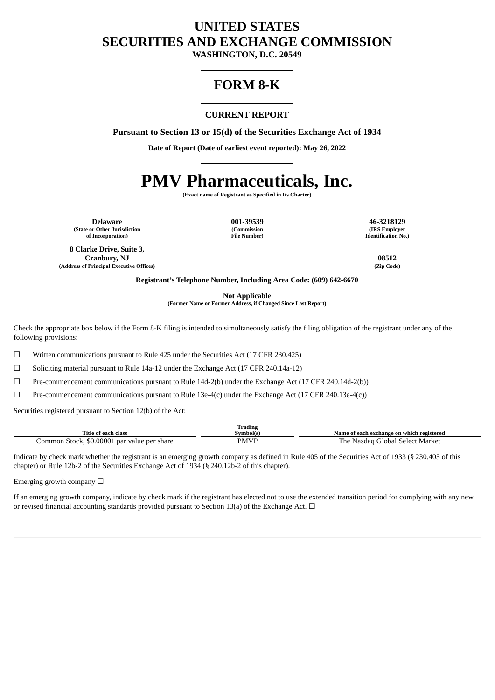# **UNITED STATES SECURITIES AND EXCHANGE COMMISSION**

**WASHINGTON, D.C. 20549**

# **FORM 8-K**

# **CURRENT REPORT**

**Pursuant to Section 13 or 15(d) of the Securities Exchange Act of 1934**

**Date of Report (Date of earliest event reported): May 26, 2022**

# **PMV Pharmaceuticals, Inc.**

**(Exact name of Registrant as Specified in Its Charter)**

**Delaware 001-39539 46-3218129 (State or Other Jurisdiction of Incorporation)**

**(Commission File Number)**

**(IRS Employer Identification No.)**

**8 Clarke Drive, Suite 3, Cranbury, NJ 08512 (Address of Principal Executive Offices) (Zip Code)**

**Registrant's Telephone Number, Including Area Code: (609) 642-6670**

**Not Applicable**

**(Former Name or Former Address, if Changed Since Last Report)**

Check the appropriate box below if the Form 8-K filing is intended to simultaneously satisfy the filing obligation of the registrant under any of the following provisions:

 $\Box$  Written communications pursuant to Rule 425 under the Securities Act (17 CFR 230.425)

☐ Soliciting material pursuant to Rule 14a-12 under the Exchange Act (17 CFR 240.14a-12)

☐ Pre-commencement communications pursuant to Rule 14d-2(b) under the Exchange Act (17 CFR 240.14d-2(b))

☐ Pre-commencement communications pursuant to Rule 13e-4(c) under the Exchange Act (17 CFR 240.13e-4(c))

Securities registered pursuant to Section 12(b) of the Act:

|                                             | <b>Trading</b> |                                           |
|---------------------------------------------|----------------|-------------------------------------------|
| Title of each class                         | Svmbol(s`      | Name of each exchange on which registered |
| Common Stock, \$0.00001 par value per share | <b>PMVP</b>    | Global Select Market .<br>Nasdag<br>'he   |

Indicate by check mark whether the registrant is an emerging growth company as defined in Rule 405 of the Securities Act of 1933 (§ 230.405 of this chapter) or Rule 12b-2 of the Securities Exchange Act of 1934 (§ 240.12b-2 of this chapter).

Emerging growth company  $\Box$ 

If an emerging growth company, indicate by check mark if the registrant has elected not to use the extended transition period for complying with any new or revised financial accounting standards provided pursuant to Section 13(a) of the Exchange Act.  $\Box$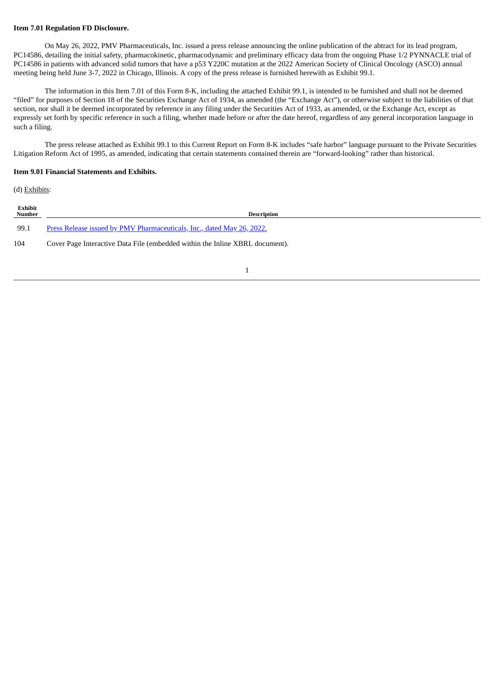## **Item 7.01 Regulation FD Disclosure.**

On May 26, 2022, PMV Pharmaceuticals, Inc. issued a press release announcing the online publication of the abtract for its lead program, PC14586, detailing the initial safety, pharmacokinetic, pharmacodynamic and preliminary efficacy data from the ongoing Phase 1/2 PYNNACLE trial of PC14586 in patients with advanced solid tumors that have a p53 Y220C mutation at the 2022 American Society of Clinical Oncology (ASCO) annual meeting being held June 3-7, 2022 in Chicago, Illinois. A copy of the press release is furnished herewith as Exhibit 99.1.

The information in this Item 7.01 of this Form 8-K, including the attached Exhibit 99.1, is intended to be furnished and shall not be deemed "filed" for purposes of Section 18 of the Securities Exchange Act of 1934, as amended (the "Exchange Act"), or otherwise subject to the liabilities of that section, nor shall it be deemed incorporated by reference in any filing under the Securities Act of 1933, as amended, or the Exchange Act, except as expressly set forth by specific reference in such a filing, whether made before or after the date hereof, regardless of any general incorporation language in such a filing.

The press release attached as Exhibit 99.1 to this Current Report on Form 8-K includes "safe harbor" language pursuant to the Private Securities Litigation Reform Act of 1995, as amended, indicating that certain statements contained therein are "forward-looking" rather than historical.

## **Item 9.01 Financial Statements and Exhibits.**

(d) Exhibits:

| Exhibit<br>Number | <b>Description</b>                                                           |
|-------------------|------------------------------------------------------------------------------|
| 99.1              | Press Release issued by PMV Pharmaceuticals, Inc., dated May 26, 2022.       |
| 104               | Cover Page Interactive Data File (embedded within the Inline XBRL document). |
|                   |                                                                              |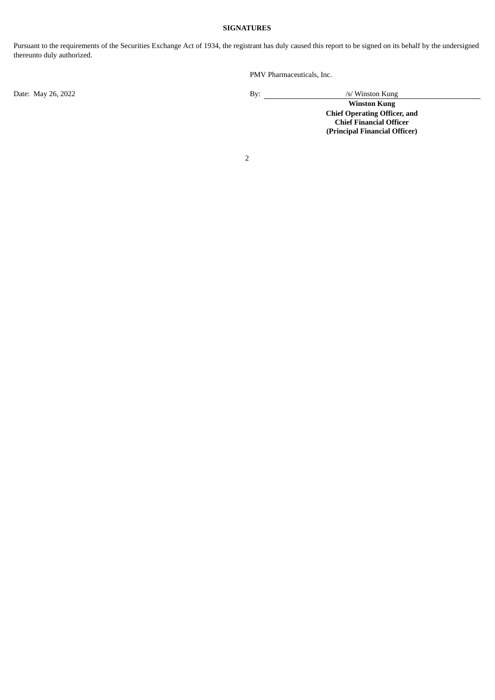# **SIGNATURES**

Pursuant to the requirements of the Securities Exchange Act of 1934, the registrant has duly caused this report to be signed on its behalf by the undersigned thereunto duly authorized.

PMV Pharmaceuticals, Inc.

Date: May 26, 2022 <br>By: /s/ Winston Kung

**Winston Kung Chief Operating Officer, and Chief Financial Officer (Principal Financial Officer)**

2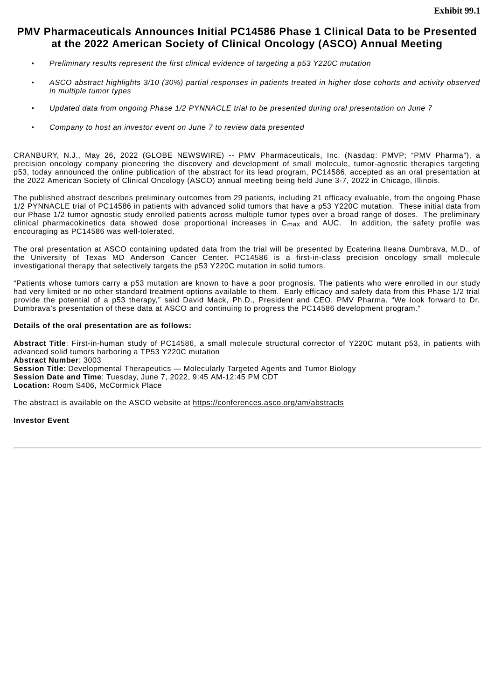# <span id="page-3-0"></span>**PMV Pharmaceuticals Announces Initial PC14586 Phase 1 Clinical Data to be Presented at the 2022 American Society of Clinical Oncology (ASCO) Annual Meeting**

- *Preliminary results represent the first clinical evidence of targeting a p53 Y220C mutation*
- ASCO abstract highlights 3/10 (30%) partial responses in patients treated in higher dose cohorts and activity observed *in multiple tumor types*
- *Updated data from ongoing Phase 1/2 PYNNACLE trial to be presented during oral presentation on June 7*
- *Company to host an investor event on June 7 to review data presented*

CRANBURY, N.J., May 26, 2022 (GLOBE NEWSWIRE) -- PMV Pharmaceuticals, Inc. (Nasdaq: PMVP; "PMV Pharma"), a precision oncology company pioneering the discovery and development of small molecule, tumor-agnostic therapies targeting p53, today announced the online publication of the abstract for its lead program, PC14586, accepted as an oral presentation at the 2022 American Society of Clinical Oncology (ASCO) annual meeting being held June 3-7, 2022 in Chicago, Illinois.

The published abstract describes preliminary outcomes from 29 patients, including 21 efficacy evaluable, from the ongoing Phase 1/2 PYNNACLE trial of PC14586 in patients with advanced solid tumors that have a p53 Y220C mutation. These initial data from our Phase 1/2 tumor agnostic study enrolled patients across multiple tumor types over a broad range of doses. The preliminary clinical pharmacokinetics data showed dose proportional increases in Cmax and AUC. In addition, the safety profile was encouraging as PC14586 was well-tolerated.

The oral presentation at ASCO containing updated data from the trial will be presented by Ecaterina Ileana Dumbrava, M.D., of the University of Texas MD Anderson Cancer Center. PC14586 is a first-in-class precision oncology small molecule investigational therapy that selectively targets the p53 Y220C mutation in solid tumors.

"Patients whose tumors carry a p53 mutation are known to have a poor prognosis. The patients who were enrolled in our study had very limited or no other standard treatment options available to them. Early efficacy and safety data from this Phase 1/2 trial provide the potential of a p53 therapy," said David Mack, Ph.D., President and CEO, PMV Pharma. "We look forward to Dr. Dumbrava's presentation of these data at ASCO and continuing to progress the PC14586 development program."

## **Details of the oral presentation are as follows:**

**Abstract Title**: First-in-human study of PC14586, a small molecule structural corrector of Y220C mutant p53, in patients with advanced solid tumors harboring a TP53 Y220C mutation **Abstract Number**: 3003 **Session Title**: Developmental Therapeutics — Molecularly Targeted Agents and Tumor Biology **Session Date and Time**: Tuesday, June 7, 2022, 9:45 AM-12:45 PM CDT **Location:** Room S406, McCormick Place

The abstract is available on the ASCO website at https://conferences.asco.org/am/abstracts

## **Investor Event**